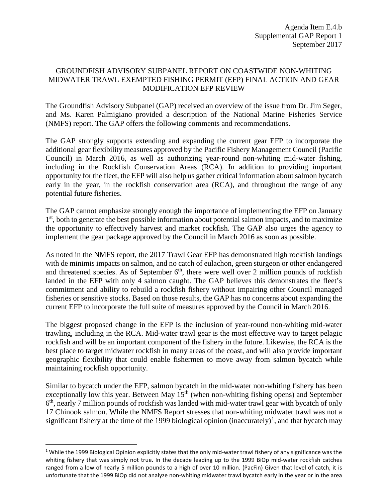## GROUNDFISH ADVISORY SUBPANEL REPORT ON COASTWIDE NON-WHITING MIDWATER TRAWL EXEMPTED FISHING PERMIT (EFP) FINAL ACTION AND GEAR MODIFICATION EFP REVIEW

The Groundfish Advisory Subpanel (GAP) received an overview of the issue from Dr. Jim Seger, and Ms. Karen Palmigiano provided a description of the National Marine Fisheries Service (NMFS) report. The GAP offers the following comments and recommendations.

The GAP strongly supports extending and expanding the current gear EFP to incorporate the additional gear flexibility measures approved by the Pacific Fishery Management Council (Pacific Council) in March 2016, as well as authorizing year-round non-whiting mid-water fishing, including in the Rockfish Conservation Areas (RCA). In addition to providing important opportunity for the fleet, the EFP will also help us gather critical information about salmon bycatch early in the year, in the rockfish conservation area (RCA), and throughout the range of any potential future fisheries.

The GAP cannot emphasize strongly enough the importance of implementing the EFP on January 1<sup>st</sup>, both to generate the best possible information about potential salmon impacts, and to maximize the opportunity to effectively harvest and market rockfish. The GAP also urges the agency to implement the gear package approved by the Council in March 2016 as soon as possible.

As noted in the NMFS report, the 2017 Trawl Gear EFP has demonstrated high rockfish landings with de minimis impacts on salmon, and no catch of eulachon, green sturgeon or other endangered and threatened species. As of September  $6<sup>th</sup>$ , there were well over 2 million pounds of rockfish landed in the EFP with only 4 salmon caught. The GAP believes this demonstrates the fleet's commitment and ability to rebuild a rockfish fishery without impairing other Council managed fisheries or sensitive stocks. Based on those results, the GAP has no concerns about expanding the current EFP to incorporate the full suite of measures approved by the Council in March 2016.

The biggest proposed change in the EFP is the inclusion of year-round non-whiting mid-water trawling, including in the RCA. Mid-water trawl gear is the most effective way to target pelagic rockfish and will be an important component of the fishery in the future. Likewise, the RCA is the best place to target midwater rockfish in many areas of the coast, and will also provide important geographic flexibility that could enable fishermen to move away from salmon bycatch while maintaining rockfish opportunity.

Similar to bycatch under the EFP, salmon bycatch in the mid-water non-whiting fishery has been exceptionally low this year. Between May  $15<sup>th</sup>$  (when non-whiting fishing opens) and September  $6<sup>th</sup>$ , nearly 7 million pounds of rockfish was landed with mid-water trawl gear with bycatch of only 17 Chinook salmon. While the NMFS Report stresses that non-whiting midwater trawl was not a significant fishery at the time of the [1](#page-0-0)999 biological opinion (inaccurately)<sup>1</sup>, and that bycatch may

<span id="page-0-0"></span> $1$  While the 1999 Biological Opinion explicitly states that the only mid-water trawl fishery of any significance was the whiting fishery that was simply not true. In the decade leading up to the 1999 BiOp mid-water rockfish catches ranged from a low of nearly 5 million pounds to a high of over 10 million. (PacFin) Given that level of catch, it is unfortunate that the 1999 BiOp did not analyze non-whiting midwater trawl bycatch early in the year or in the area